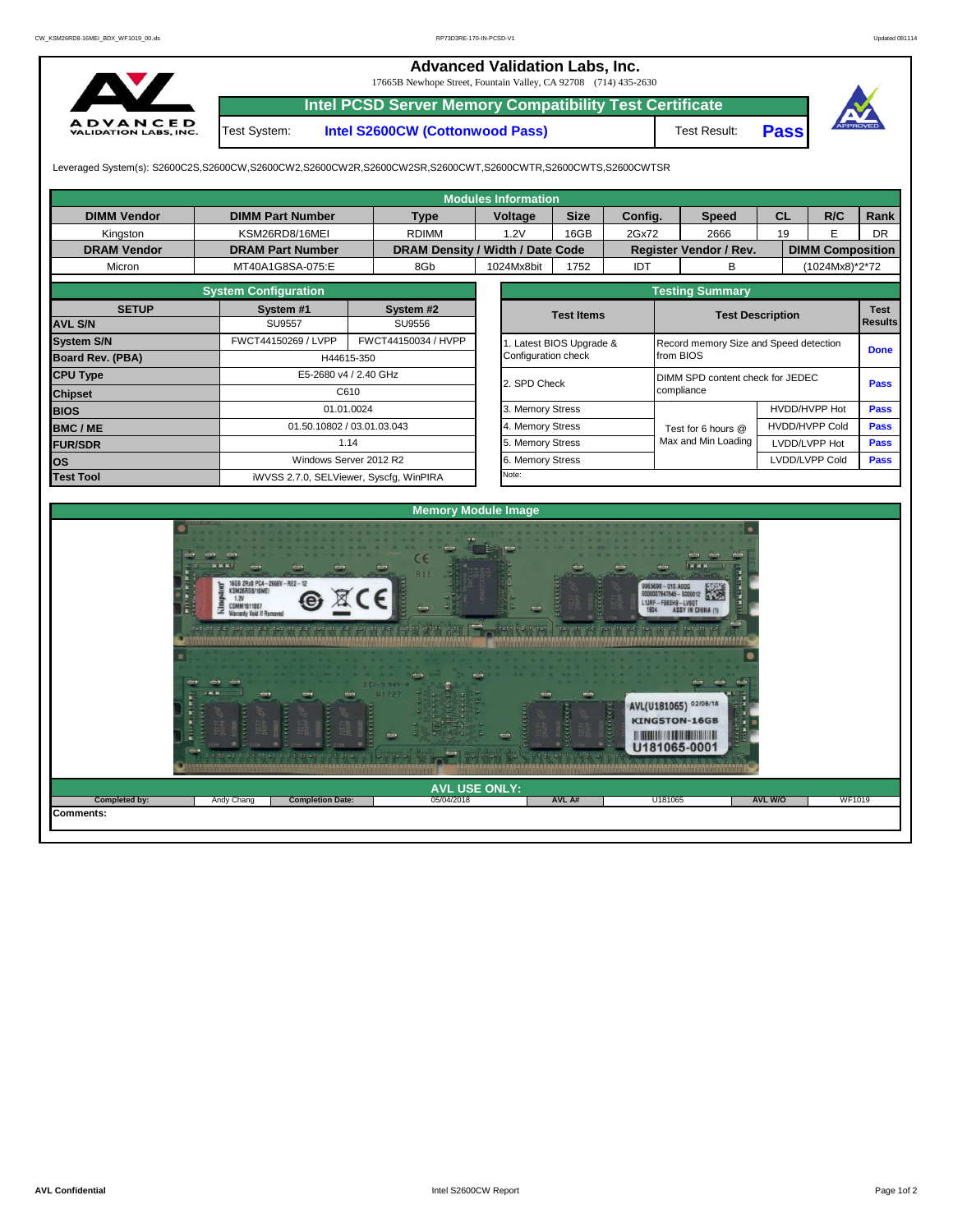## **Advanced Validation Labs, Inc.**

17665B Newhope Street, Fountain Valley, CA 92708 (714) 435-2630



**Intel PCSD Server Memory Compatibility Test Certificate** Test System: **Intel S2600CW (Cottonwood Pass)**

Test Result: **Pass**



Leveraged System(s): S2600C2S,S2600CW,S2600CW2,S2600CW2R,S2600CW2SR,S2600CWT,S2600CWTR,S2600CWTS,S2600CWTSR

**Completion Date:** 

|                    |                                                                                                        |                            |                                  |         | <b>Modules Information</b>           |                       |                                  |                                          |                         |                      |                       |                                        |                |  |  |
|--------------------|--------------------------------------------------------------------------------------------------------|----------------------------|----------------------------------|---------|--------------------------------------|-----------------------|----------------------------------|------------------------------------------|-------------------------|----------------------|-----------------------|----------------------------------------|----------------|--|--|
| <b>DIMM Vendor</b> | <b>DIMM Part Number</b>                                                                                | <b>Type</b>                |                                  | Voltage | <b>Size</b>                          | Config.               |                                  | <b>Speed</b>                             | <b>CL</b>               |                      | R/C                   | Rank                                   |                |  |  |
| Kingston           | KSM26RD8/16MEI                                                                                         |                            | <b>RDIMM</b>                     |         | 1.2V                                 | 16GB                  | 2Gx72                            |                                          | 2666                    | 19                   |                       | E                                      | <b>DR</b>      |  |  |
| <b>DRAM Vendor</b> | <b>DRAM Part Number</b>                                                                                |                            | DRAM Density / Width / Date Code |         |                                      |                       | Register Vendor / Rev.           |                                          | <b>DIMM Composition</b> |                      |                       |                                        |                |  |  |
| Micron             | MT40A1G8SA-075:E                                                                                       |                            | 8Gb                              |         | 1024Mx8bit                           | 1752                  | IDT                              |                                          | в                       |                      |                       | (1024Mx8)*2*72                         |                |  |  |
|                    |                                                                                                        | <b>Testing Summary</b>     |                                  |         |                                      |                       |                                  |                                          |                         |                      |                       |                                        |                |  |  |
| <b>SETUP</b>       | <b>System Configuration</b><br>System #1                                                               |                            | System #2                        |         |                                      | <b>Test Items</b>     |                                  |                                          | <b>Test Description</b> |                      |                       |                                        |                |  |  |
| <b>AVL S/N</b>     | <b>SU9557</b>                                                                                          | SU9556                     |                                  |         |                                      |                       |                                  |                                          |                         |                      |                       |                                        | <b>Results</b> |  |  |
| <b>System S/N</b>  | FWCT44150269 / LVPP                                                                                    |                            | FWCT44150034 / HVPP              |         |                                      | Latest BIOS Upgrade & |                                  |                                          |                         |                      |                       | Record memory Size and Speed detection |                |  |  |
| Board Rev. (PBA)   |                                                                                                        | H44615-350                 |                                  |         |                                      |                       | Configuration check<br>from BIOS |                                          |                         |                      |                       |                                        | <b>Done</b>    |  |  |
| <b>CPU Type</b>    |                                                                                                        | E5-2680 v4 / 2.40 GHz      |                                  |         |                                      |                       |                                  | DIMM SPD content check for JEDEC<br>Pass |                         |                      |                       |                                        |                |  |  |
| <b>Chipset</b>     |                                                                                                        | C610                       |                                  |         |                                      |                       |                                  | compliance                               |                         |                      |                       |                                        |                |  |  |
| <b>BIOS</b>        |                                                                                                        | 01.01.0024                 |                                  |         |                                      | 3. Memory Stress      |                                  |                                          |                         | <b>HVDD/HVPP Hot</b> |                       |                                        | Pass           |  |  |
| <b>BMC/ME</b>      |                                                                                                        | 01.50.10802 / 03.01.03.043 |                                  |         |                                      | 4. Memory Stress      |                                  |                                          | Test for 6 hours @      |                      | <b>HVDD/HVPP Cold</b> | Pass                                   |                |  |  |
| <b>FUR/SDR</b>     |                                                                                                        | 1.14                       |                                  |         | 5. Memory Stress<br>6. Memory Stress |                       |                                  |                                          | Max and Min Loading     | LVDD/LVPP Hot        |                       |                                        | Pass           |  |  |
| los                | Windows Server 2012 R2                                                                                 |                            |                                  |         |                                      |                       |                                  |                                          |                         | LVDD/LVPP Cold       |                       |                                        | <b>Pass</b>    |  |  |
| <b>Test Tool</b>   | iWVSS 2.7.0, SELViewer, Syscfg, WinPIRA                                                                |                            |                                  | Note:   |                                      |                       |                                  |                                          |                         |                      |                       |                                        |                |  |  |
|                    |                                                                                                        |                            |                                  |         |                                      |                       |                                  |                                          |                         |                      |                       |                                        |                |  |  |
|                    |                                                                                                        |                            | <b>Memory Module Image</b>       |         |                                      |                       |                                  |                                          |                         |                      |                       |                                        |                |  |  |
|                    | $M$ and $M$ and $M$<br>16GB 2Rx8 PC4-2666V-RE2-12<br>(SM26RD8/16MFI<br><b>Warranty Void If Removed</b> |                            |                                  |         |                                      |                       |                                  | 9965698-010.A00G                         | 000007947945 - \$000012 |                      |                       |                                        |                |  |  |

**Comments:**

05/04/2018 **AVL A#**

**Bottlitt MAR** 

U18106

AVL(U181065) 02/05/18 KINGSTON-16GB **HIMMINIAN DE HIMMINIAN** U181065-0001

1 机片片料机片

**AVL USE ONLY: Completed by:** Andy Chang **AVL W/O** WF1019